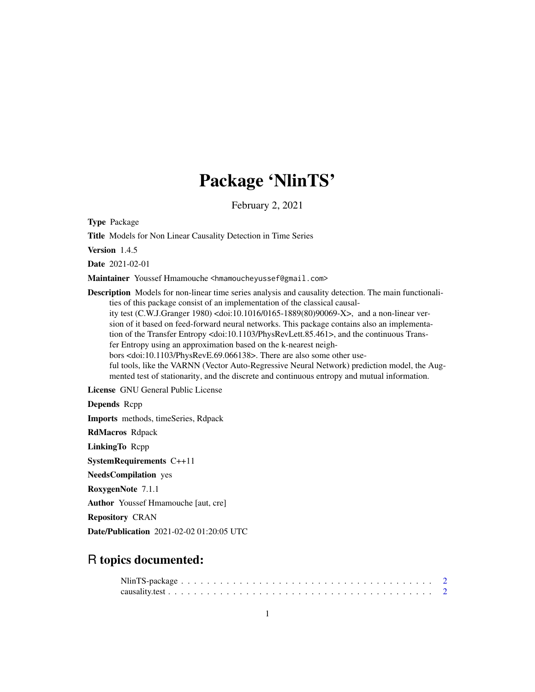# Package 'NlinTS'

February 2, 2021

Type Package

Title Models for Non Linear Causality Detection in Time Series

Version 1.4.5

Date 2021-02-01

Maintainer Youssef Hmamouche <hmamoucheyussef@gmail.com>

Description Models for non-linear time series analysis and causality detection. The main functionalities of this package consist of an implementation of the classical causality test (C.W.J.Granger 1980) <doi:10.1016/0165-1889(80)90069-X>, and a non-linear version of it based on feed-forward neural networks. This package contains also an implementation of the Transfer Entropy <doi:10.1103/PhysRevLett.85.461>, and the continuous Transfer Entropy using an approximation based on the k-nearest neighbors <doi:10.1103/PhysRevE.69.066138>. There are also some other useful tools, like the VARNN (Vector Auto-Regressive Neural Network) prediction model, the Augmented test of stationarity, and the discrete and continuous entropy and mutual information.

License GNU General Public License

Depends Rcpp

Imports methods, timeSeries, Rdpack

RdMacros Rdpack

LinkingTo Rcpp

SystemRequirements C++11

NeedsCompilation yes

RoxygenNote 7.1.1

Author Youssef Hmamouche [aut, cre]

Repository CRAN

Date/Publication 2021-02-02 01:20:05 UTC

# R topics documented: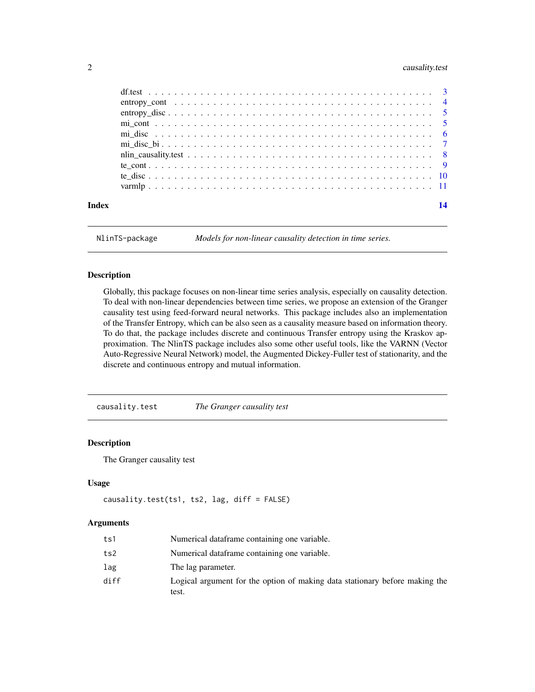# <span id="page-1-0"></span>2 causality.test

| Index |  |
|-------|--|
|       |  |
|       |  |
|       |  |
|       |  |
|       |  |
|       |  |
|       |  |
|       |  |
|       |  |
|       |  |

NlinTS-package *Models for non-linear causality detection in time series.*

# Description

Globally, this package focuses on non-linear time series analysis, especially on causality detection. To deal with non-linear dependencies between time series, we propose an extension of the Granger causality test using feed-forward neural networks. This package includes also an implementation of the Transfer Entropy, which can be also seen as a causality measure based on information theory. To do that, the package includes discrete and continuous Transfer entropy using the Kraskov approximation. The NlinTS package includes also some other useful tools, like the VARNN (Vector Auto-Regressive Neural Network) model, the Augmented Dickey-Fuller test of stationarity, and the discrete and continuous entropy and mutual information.

causality.test *The Granger causality test*

#### Description

The Granger causality test

#### Usage

```
causality.test(ts1, ts2, lag, diff = FALSE)
```
#### Arguments

| ts1  | Numerical dataframe containing one variable.                                         |
|------|--------------------------------------------------------------------------------------|
| ts2  | Numerical dataframe containing one variable.                                         |
| lag  | The lag parameter.                                                                   |
| diff | Logical argument for the option of making data stationary before making the<br>test. |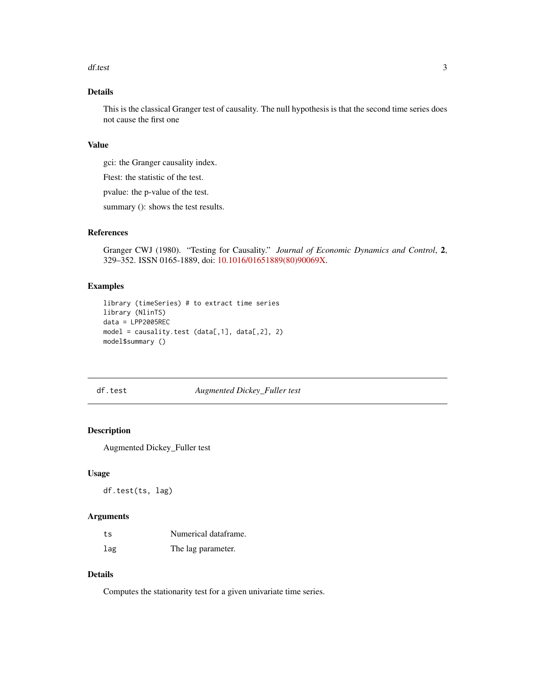#### <span id="page-2-0"></span>df.test 3

# Details

This is the classical Granger test of causality. The null hypothesis is that the second time series does not cause the first one

#### Value

gci: the Granger causality index.

Ftest: the statistic of the test.

pvalue: the p-value of the test.

summary (): shows the test results.

#### References

Granger CWJ (1980). "Testing for Causality." *Journal of Economic Dynamics and Control*, 2, 329–352. ISSN 0165-1889, doi: [10.1016/01651889\(80\)90069X.](https://doi.org/10.1016/0165-1889(80)90069-X)

#### Examples

```
library (timeSeries) # to extract time series
library (NlinTS)
data = LPP2005REC
model = causality.test (data[,1], data[,2], 2)
model$summary ()
```
df.test *Augmented Dickey\_Fuller test*

# Description

Augmented Dickey\_Fuller test

#### Usage

df.test(ts, lag)

#### Arguments

| ts  | Numerical dataframe. |
|-----|----------------------|
| lag | The lag parameter.   |

#### Details

Computes the stationarity test for a given univariate time series.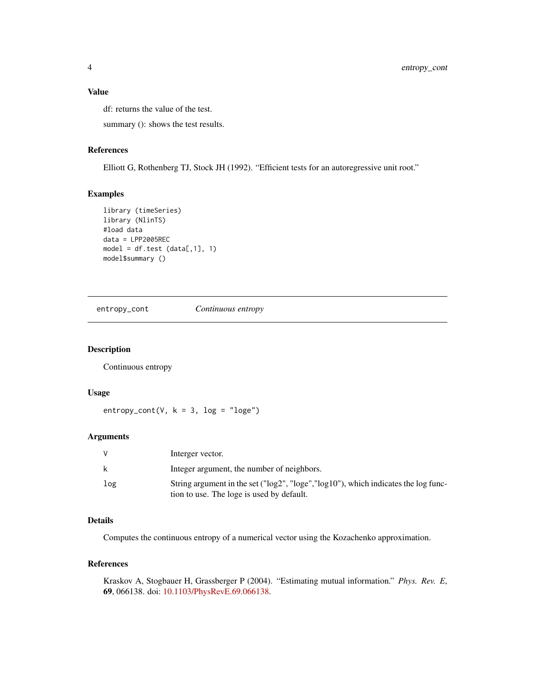#### <span id="page-3-0"></span>Value

df: returns the value of the test.

summary (): shows the test results.

# References

Elliott G, Rothenberg TJ, Stock JH (1992). "Efficient tests for an autoregressive unit root."

#### Examples

```
library (timeSeries)
library (NlinTS)
#load data
data = LPP2005REC
model = df.test (data[, 1], 1)model$summary ()
```
entropy\_cont *Continuous entropy*

#### Description

Continuous entropy

# Usage

entropy\_cont(V,  $k = 3$ ,  $log = "loge")$ 

#### Arguments

|     | Interger vector.                                                                                                                                                                     |
|-----|--------------------------------------------------------------------------------------------------------------------------------------------------------------------------------------|
| k.  | Integer argument, the number of neighbors.                                                                                                                                           |
| log | String argument in the set ( $\lceil \log 2 \rceil$ , $\lceil \log e \rceil$ , $\lceil \log 10 \rceil$ ), which indicates the log func-<br>tion to use. The loge is used by default. |

# Details

Computes the continuous entropy of a numerical vector using the Kozachenko approximation.

#### References

Kraskov A, Stogbauer H, Grassberger P (2004). "Estimating mutual information." *Phys. Rev. E*, 69, 066138. doi: [10.1103/PhysRevE.69.066138.](https://doi.org/10.1103/PhysRevE.69.066138)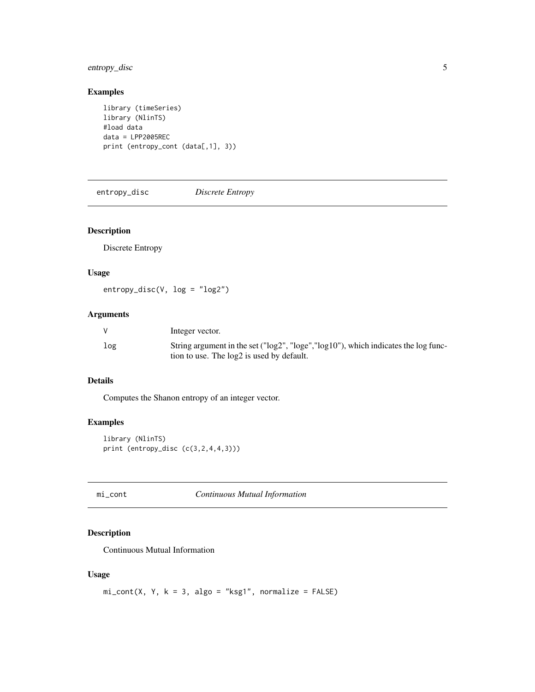# <span id="page-4-0"></span>entropy\_disc 5

# Examples

```
library (timeSeries)
library (NlinTS)
#load data
data = LPP2005REC
print (entropy_cont (data[,1], 3))
```
entropy\_disc *Discrete Entropy*

# Description

Discrete Entropy

#### Usage

 $entropy\_disc(V, log = "log2")$ 

# Arguments

|     | Integer vector.                                                                    |
|-----|------------------------------------------------------------------------------------|
| log | String argument in the set ("log2", "loge","log10"), which indicates the log func- |
|     | tion to use. The log2 is used by default.                                          |

# Details

Computes the Shanon entropy of an integer vector.

# Examples

```
library (NlinTS)
print (entropy_disc (c(3,2,4,4,3)))
```
# mi\_cont *Continuous Mutual Information*

# Description

Continuous Mutual Information

# Usage

```
mi\_cont(X, Y, k = 3, algo = "ksg1", normalize = FALSE)
```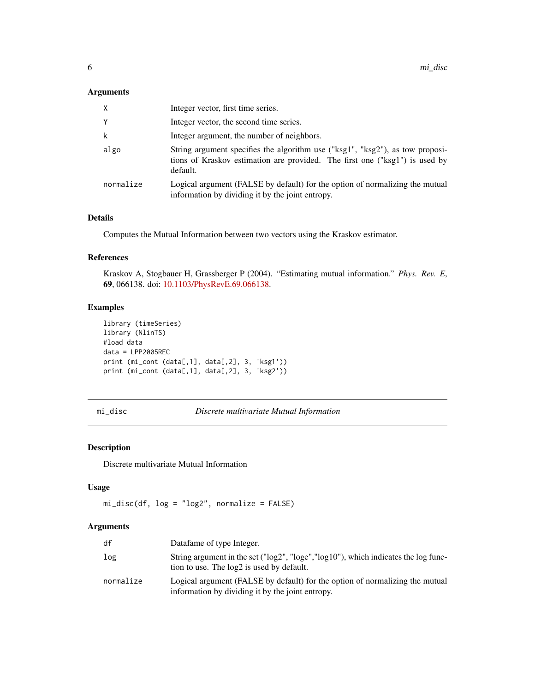#### <span id="page-5-0"></span>Arguments

| $\times$  | Integer vector, first time series.                                                                                                                                       |
|-----------|--------------------------------------------------------------------------------------------------------------------------------------------------------------------------|
| Y         | Integer vector, the second time series.                                                                                                                                  |
| k         | Integer argument, the number of neighbors.                                                                                                                               |
| algo      | String argument specifies the algorithm use ("ksg1", "ksg2"), as tow proposi-<br>tions of Kraskov estimation are provided. The first one ("ksg1") is used by<br>default. |
| normalize | Logical argument (FALSE by default) for the option of normalizing the mutual<br>information by dividing it by the joint entropy.                                         |

#### Details

Computes the Mutual Information between two vectors using the Kraskov estimator.

#### References

Kraskov A, Stogbauer H, Grassberger P (2004). "Estimating mutual information." *Phys. Rev. E*, 69, 066138. doi: [10.1103/PhysRevE.69.066138.](https://doi.org/10.1103/PhysRevE.69.066138)

# Examples

```
library (timeSeries)
library (NlinTS)
#load data
data = LPP2005REC
print (mi_cont (data[,1], data[,2], 3, 'ksg1'))
print (mi_cont (data[,1], data[,2], 3, 'ksg2'))
```
mi\_disc *Discrete multivariate Mutual Information*

#### Description

Discrete multivariate Mutual Information

# Usage

```
mi_disc(df, log = "log2", normalize = FALSE)
```
# Arguments

| df        | Datafame of type Integer.                                                                                                                                                            |
|-----------|--------------------------------------------------------------------------------------------------------------------------------------------------------------------------------------|
| log       | String argument in the set ( $\lceil \log 2 \rceil$ , $\lceil \log e \rceil$ , $\lceil \log 10 \rceil$ ), which indicates the log func-<br>tion to use. The log2 is used by default. |
| normalize | Logical argument (FALSE by default) for the option of normalizing the mutual<br>information by dividing it by the joint entropy.                                                     |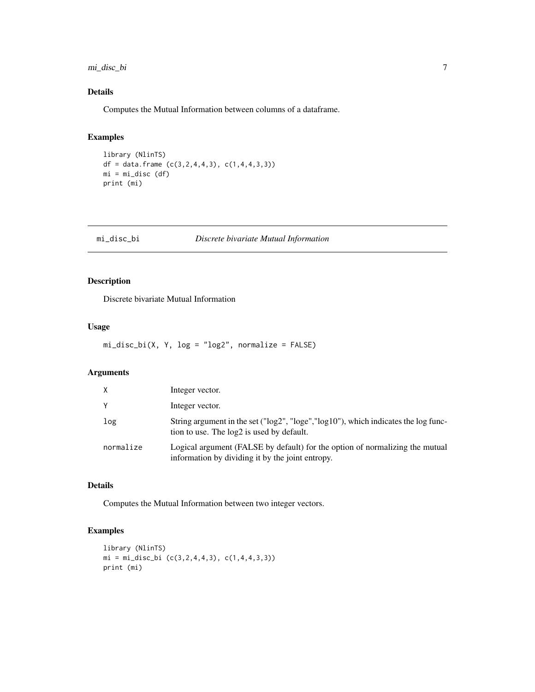<span id="page-6-0"></span>mi\_disc\_bi 7

# Details

Computes the Mutual Information between columns of a dataframe.

#### Examples

```
library (NlinTS)
df = data.frame (c(3,2,4,4,3), c(1,4,4,3,3))mi = mi\_disc (df)
print (mi)
```
#### mi\_disc\_bi *Discrete bivariate Mutual Information*

# Description

Discrete bivariate Mutual Information

#### Usage

 $mi\_disc\_bi(X, Y, log = "log2", normalize = FALSE)$ 

# Arguments

| X         | Integer vector.                                                                                                                                             |
|-----------|-------------------------------------------------------------------------------------------------------------------------------------------------------------|
| Y         | Integer vector.                                                                                                                                             |
| log       | String argument in the set ( $\lceil \log 2 \rceil$ , $\lceil \log 10 \rceil$ ), which indicates the log func-<br>tion to use. The log2 is used by default. |
| normalize | Logical argument (FALSE by default) for the option of normalizing the mutual<br>information by dividing it by the joint entropy.                            |

# Details

Computes the Mutual Information between two integer vectors.

# Examples

```
library (NlinTS)
mi = mi\_disc\_bi (c(3,2,4,4,3), c(1,4,4,3,3))print (mi)
```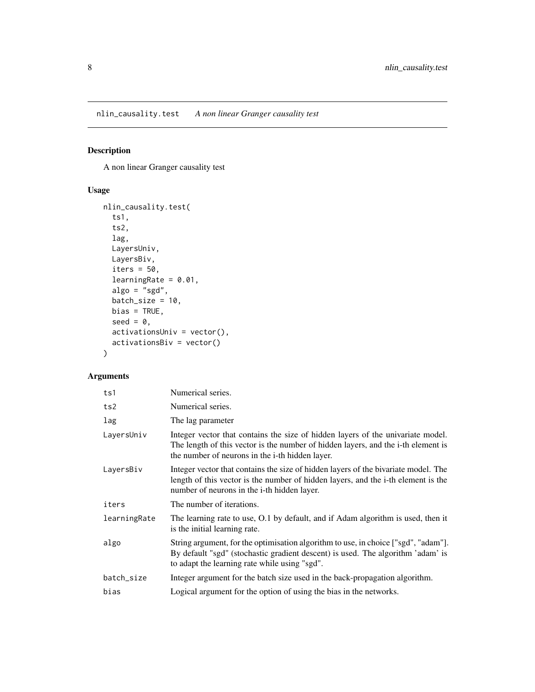# <span id="page-7-0"></span>Description

A non linear Granger causality test

# Usage

```
nlin_causality.test(
  ts1,
  ts2,
  lag,
 LayersUniv,
 LayersBiv,
  iters = 50,
  learningRate = 0.01,
 algo = \overline{''}sgd",
 batch_size = 10,
 bias = TRUE,seed = 0,
  activationsUniv = vector(),
  activationsBiv = vector()
)
```
# Arguments

| ts1          | Numerical series.                                                                                                                                                                                                                       |
|--------------|-----------------------------------------------------------------------------------------------------------------------------------------------------------------------------------------------------------------------------------------|
| ts2          | Numerical series.                                                                                                                                                                                                                       |
| lag          | The lag parameter                                                                                                                                                                                                                       |
| LayersUniv   | Integer vector that contains the size of hidden layers of the univariate model.<br>The length of this vector is the number of hidden layers, and the <i>i</i> -th element is<br>the number of neurons in the <i>i</i> -th hidden layer. |
| LayersBiv    | Integer vector that contains the size of hidden layers of the bivariate model. The<br>length of this vector is the number of hidden layers, and the i-th element is the<br>number of neurons in the i-th hidden layer.                  |
| iters        | The number of iterations.                                                                                                                                                                                                               |
| learningRate | The learning rate to use, O.1 by default, and if Adam algorithm is used, then it<br>is the initial learning rate.                                                                                                                       |
| algo         | String argument, for the optimisation algorithm to use, in choice ["sgd", "adam"].<br>By default "sgd" (stochastic gradient descent) is used. The algorithm 'adam' is<br>to adapt the learning rate while using "sgd".                  |
| batch_size   | Integer argument for the batch size used in the back-propagation algorithm.                                                                                                                                                             |
| bias         | Logical argument for the option of using the bias in the networks.                                                                                                                                                                      |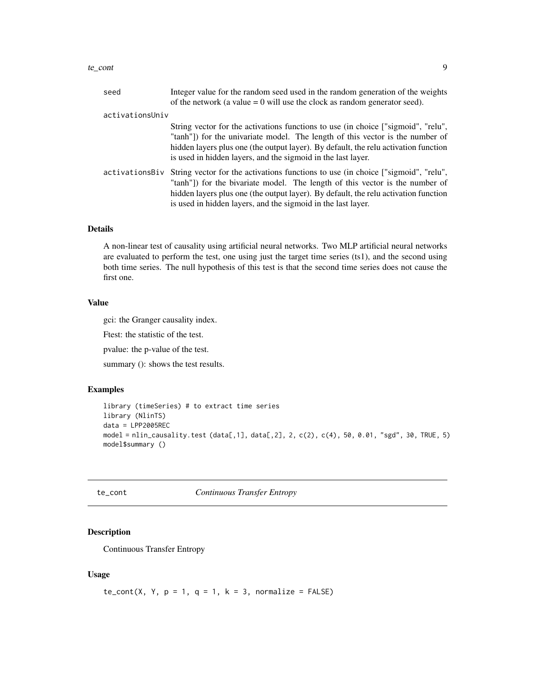#### <span id="page-8-0"></span>te\_cont 9

| seed            | Integer value for the random seed used in the random generation of the weights<br>of the network (a value $= 0$ will use the clock as random generator seed).                                                                                                                                                             |
|-----------------|---------------------------------------------------------------------------------------------------------------------------------------------------------------------------------------------------------------------------------------------------------------------------------------------------------------------------|
| activationsUniv |                                                                                                                                                                                                                                                                                                                           |
|                 | String vector for the activations functions to use (in choice ["sigmoid", "relu",<br>"tanh"]) for the univariate model. The length of this vector is the number of<br>hidden layers plus one (the output layer). By default, the relu activation function<br>is used in hidden layers, and the sigmoid in the last layer. |
| activationsBiv  | String vector for the activations functions to use (in choice ["sigmoid", "relu",<br>"tanh") for the bivariate model. The length of this vector is the number of<br>hidden layers plus one (the output layer). By default, the relu activation function<br>is used in hidden layers, and the sigmoid in the last layer.   |

# Details

A non-linear test of causality using artificial neural networks. Two MLP artificial neural networks are evaluated to perform the test, one using just the target time series (ts1), and the second using both time series. The null hypothesis of this test is that the second time series does not cause the first one.

# Value

gci: the Granger causality index.

Ftest: the statistic of the test.

pvalue: the p-value of the test.

summary (): shows the test results.

# Examples

```
library (timeSeries) # to extract time series
library (NlinTS)
data = LPP2005REC
model = nlin_causality.test (data[,1], data[,2], 2, c(2), c(4), 50, 0.01, "sgd", 30, TRUE, 5)
model$summary ()
```
te\_cont *Continuous Transfer Entropy*

# Description

Continuous Transfer Entropy

#### Usage

 $te_{cont}(X, Y, p = 1, q = 1, k = 3, normalize = FALSE)$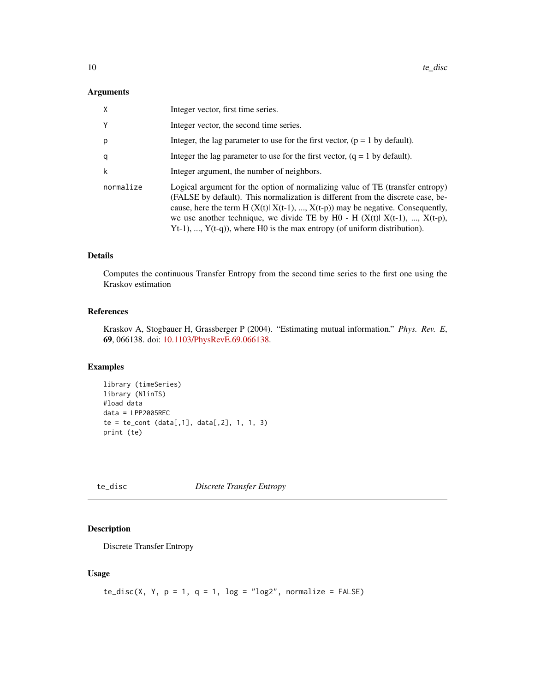#### <span id="page-9-0"></span>Arguments

| X         | Integer vector, first time series.                                                                                                                                                                                                                                                                                                                                                                                      |
|-----------|-------------------------------------------------------------------------------------------------------------------------------------------------------------------------------------------------------------------------------------------------------------------------------------------------------------------------------------------------------------------------------------------------------------------------|
| Υ         | Integer vector, the second time series.                                                                                                                                                                                                                                                                                                                                                                                 |
| p         | Integer, the lag parameter to use for the first vector, $(p = 1$ by default).                                                                                                                                                                                                                                                                                                                                           |
| q         | Integer the lag parameter to use for the first vector, $(q = 1)$ by default).                                                                                                                                                                                                                                                                                                                                           |
| k         | Integer argument, the number of neighbors.                                                                                                                                                                                                                                                                                                                                                                              |
| normalize | Logical argument for the option of normalizing value of TE (transfer entropy)<br>(FALSE by default). This normalization is different from the discrete case, be-<br>cause, here the term H $(X(t)   X(t-1), , X(t-p))$ may be negative. Consequently,<br>we use another technique, we divide TE by H0 - H $(X(t)   X(t-1), , X(t-p))$ ,<br>$Yt-1$ , , $Y(t-q)$ , where H0 is the max entropy (of uniform distribution). |

# Details

Computes the continuous Transfer Entropy from the second time series to the first one using the Kraskov estimation

### References

Kraskov A, Stogbauer H, Grassberger P (2004). "Estimating mutual information." *Phys. Rev. E*, 69, 066138. doi: [10.1103/PhysRevE.69.066138.](https://doi.org/10.1103/PhysRevE.69.066138)

# Examples

```
library (timeSeries)
library (NlinTS)
#load data
data = LPP2005REC
te = te_cont (data[,1], data[,2], 1, 1, 3)
print (te)
```
te\_disc *Discrete Transfer Entropy*

# Description

Discrete Transfer Entropy

#### Usage

```
te\_disc(X, Y, p = 1, q = 1, log = "log2", normalize = FALSE)
```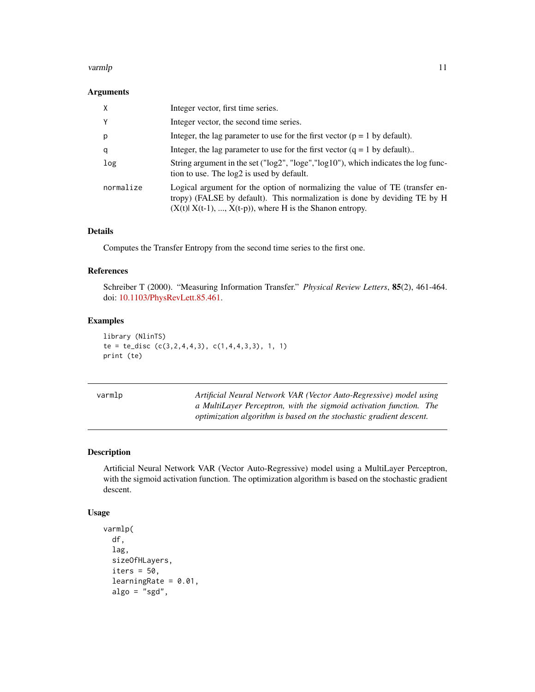#### <span id="page-10-0"></span>varmlp that the contract of the contract of the contract of the contract of the contract of the contract of the contract of the contract of the contract of the contract of the contract of the contract of the contract of th

#### Arguments

| X         | Integer vector, first time series.                                                                                                                                                                                        |
|-----------|---------------------------------------------------------------------------------------------------------------------------------------------------------------------------------------------------------------------------|
| Y         | Integer vector, the second time series.                                                                                                                                                                                   |
| p         | Integer, the lag parameter to use for the first vector ( $p = 1$ by default).                                                                                                                                             |
| q         | Integer, the lag parameter to use for the first vector $(q = 1)$ by default).                                                                                                                                             |
| log       | String argument in the set ( $\lceil \log 2 \rceil$ , $\lceil \log 10 \rceil$ ), which indicates the log func-<br>tion to use. The log2 is used by default.                                                               |
| normalize | Logical argument for the option of normalizing the value of TE (transfer en-<br>tropy) (FALSE by default). This normalization is done by deviding TE by H<br>$(X(t)   X(t-1), , X(t-p))$ , where H is the Shanon entropy. |

### Details

Computes the Transfer Entropy from the second time series to the first one.

#### References

Schreiber T (2000). "Measuring Information Transfer." *Physical Review Letters*, 85(2), 461-464. doi: [10.1103/PhysRevLett.85.461.](https://doi.org/10.1103/PhysRevLett.85.461)

#### Examples

```
library (NlinTS)
te = te\_disc (c(3,2,4,4,3), c(1,4,4,3,3), 1, 1)
print (te)
```

| varmlp | Artificial Neural Network VAR (Vector Auto-Regressive) model using  |
|--------|---------------------------------------------------------------------|
|        | a MultiLayer Perceptron, with the sigmoid activation function. The  |
|        | optimization algorithm is based on the stochastic gradient descent. |
|        |                                                                     |

# Description

Artificial Neural Network VAR (Vector Auto-Regressive) model using a MultiLayer Perceptron, with the sigmoid activation function. The optimization algorithm is based on the stochastic gradient descent.

#### Usage

```
varmlp(
  df,
  lag,
  sizeOfHLayers,
  iters = 50,
  learningRate = 0.01,algo = "sgd",
```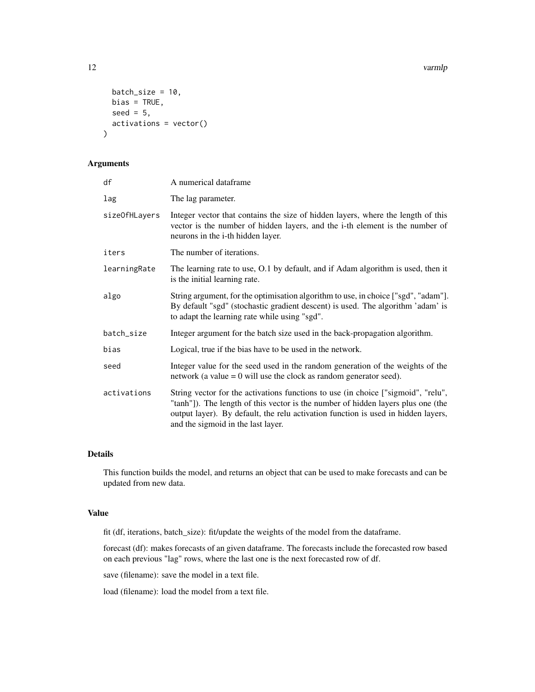12 varmlp

```
batch_size = 10,
 bias = TRUE,seed = 5.
 activations = vector()
)
```
# Arguments

| df            | A numerical dataframe                                                                                                                                                                                                                                                                            |
|---------------|--------------------------------------------------------------------------------------------------------------------------------------------------------------------------------------------------------------------------------------------------------------------------------------------------|
| lag           | The lag parameter.                                                                                                                                                                                                                                                                               |
| sizeOfHLayers | Integer vector that contains the size of hidden layers, where the length of this<br>vector is the number of hidden layers, and the i-th element is the number of<br>neurons in the i-th hidden layer.                                                                                            |
| iters         | The number of iterations.                                                                                                                                                                                                                                                                        |
| learningRate  | The learning rate to use, O.1 by default, and if Adam algorithm is used, then it<br>is the initial learning rate.                                                                                                                                                                                |
| algo          | String argument, for the optimisation algorithm to use, in choice ["sgd", "adam"].<br>By default "sgd" (stochastic gradient descent) is used. The algorithm 'adam' is<br>to adapt the learning rate while using "sgd".                                                                           |
| batch_size    | Integer argument for the batch size used in the back-propagation algorithm.                                                                                                                                                                                                                      |
| bias          | Logical, true if the bias have to be used in the network.                                                                                                                                                                                                                                        |
| seed          | Integer value for the seed used in the random generation of the weights of the<br>network (a value $= 0$ will use the clock as random generator seed).                                                                                                                                           |
| activations   | String vector for the activations functions to use (in choice ["sigmoid", "relu",<br>"tanh"]). The length of this vector is the number of hidden layers plus one (the<br>output layer). By default, the relu activation function is used in hidden layers,<br>and the sigmoid in the last layer. |

#### Details

This function builds the model, and returns an object that can be used to make forecasts and can be updated from new data.

# Value

fit (df, iterations, batch\_size): fit/update the weights of the model from the dataframe.

forecast (df): makes forecasts of an given dataframe. The forecasts include the forecasted row based on each previous "lag" rows, where the last one is the next forecasted row of df.

save (filename): save the model in a text file.

load (filename): load the model from a text file.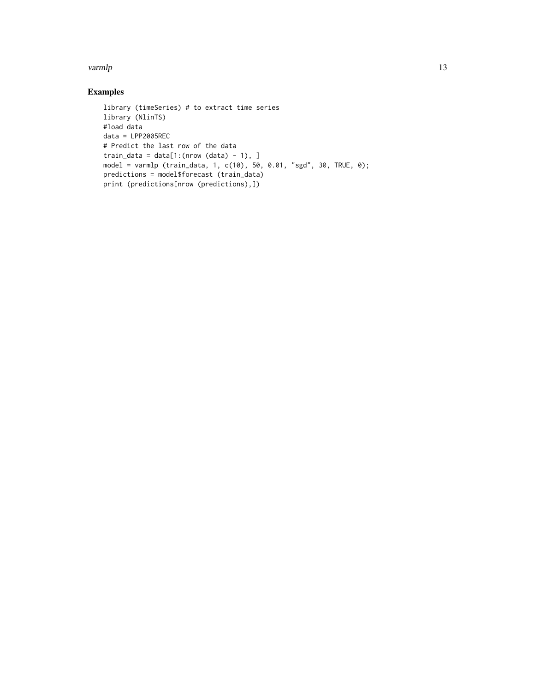#### varmlp that the contract of the contract of the contract of the contract of the contract of the contract of the contract of the contract of the contract of the contract of the contract of the contract of the contract of th

# Examples

```
library (timeSeries) # to extract time series
library (NlinTS)
#load data
data = LPP2005REC
# Predict the last row of the data
train_data = data[1:(nrow (data) - 1), ]
model = varmlp (train_data, 1, c(10), 50, 0.01, "sgd", 30, TRUE, 0);
predictions = model$forecast (train_data)
print (predictions[nrow (predictions),])
```